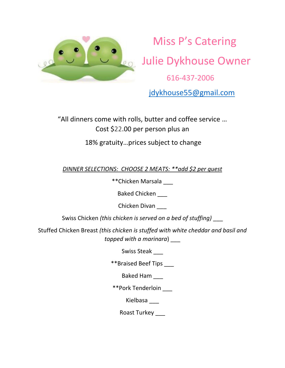

Miss P's Catering **20 Julie Dykhouse Owner** 616-437-2006

jdykhouse55@gmail.com

"All dinners come with rolls, butter and coffee service ... Cost \$22.00 per person plus an

18% gratuity...prices subject to change

*DINNER SELECTIONS: CHOOSE 2 MEATS: \*\*add \$2 per guest*

\*\*Chicken Marsala \_\_\_

Baked Chicken

Chicken Divan \_\_\_

Swiss Chicken *(this chicken is served on a bed of stuffing)* \_\_\_

Stuffed Chicken Breast *(this chicken is stuffed with white cheddar and basil and topped with a marinara*) \_\_\_

Swiss Steak

\*\*Braised Beef Tips \_\_\_

Baked Ham \_\_\_

\*\*Pork Tenderloin \_\_\_

Kielbasa \_\_\_

Roast Turkey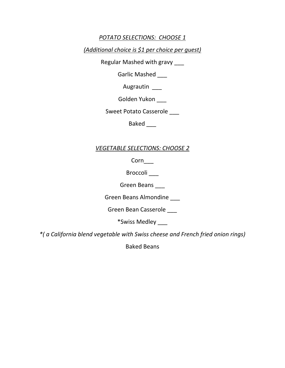# *POTATO SELECTIONS: CHOOSE 1*

*(Additional choice is \$1 per choice per guest)*

Regular Mashed with gravy \_\_\_

Garlic Mashed \_\_\_

Augrautin \_\_\_

Golden Yukon \_\_\_

Sweet Potato Casserole

Baked \_\_\_

# *VEGETABLE SELECTIONS: CHOOSE 2*

Corn\_\_\_

Broccoli \_\_\_

Green Beans \_\_\_

Green Beans Almondine \_\_\_

Green Bean Casserole \_\_\_

\*Swiss Medley \_\_\_

*\*( a California blend vegetable with Swiss cheese and French fried onion rings)*

Baked Beans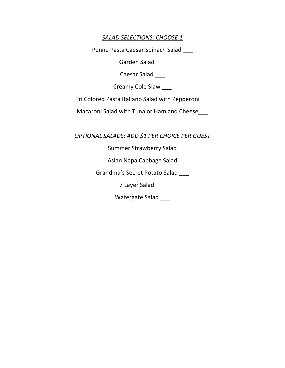# *SALAD SELECTIONS: CHOOSE 1*

Penne Pasta Caesar Spinach Salad \_\_\_

Garden Salad

Caesar Salad \_\_\_

Creamy Cole Slaw \_\_\_

Tri Colored Pasta Italiano Salad with Pepperoni\_\_\_

Macaroni Salad with Tuna or Ham and Cheese\_\_\_

*OPTIONAL SALADS: ADD \$1 PER CHOICE PER GUEST*

Summer Strawberry Salad

Asian Napa Cabbage Salad

Grandma's Secret Potato Salad \_\_\_

7 Layer Salad \_\_\_

Watergate Salad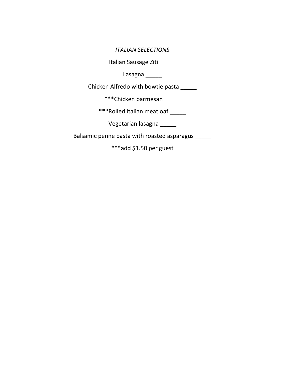### *ITALIAN SELECTIONS*

Italian Sausage Ziti \_\_\_\_\_

Lasagna \_\_\_\_\_\_

Chicken Alfredo with bowtie pasta \_\_\_\_\_

\*\*\*Chicken parmesan \_\_\_\_\_\_

\*\*\*Rolled Italian meatloaf \_\_\_\_\_

Vegetarian lasagna \_\_\_\_\_

Balsamic penne pasta with roasted asparagus \_\_\_\_\_

\*\*\*add \$1.50 per guest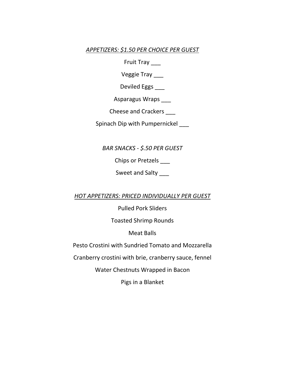## *APPETIZERS: \$1.50 PER CHOICE PER GUEST*

Fruit Tray \_\_\_

Veggie Tray \_\_\_

Deviled Eggs \_\_\_

Asparagus Wraps \_\_\_

Cheese and Crackers \_\_\_

Spinach Dip with Pumpernickel

*BAR SNACKS - \$.50 PER GUEST*

Chips or Pretzels \_\_\_

Sweet and Salty \_\_\_

*HOT APPETIZERS: PRICED INDIVIDUALLY PER GUEST*

Pulled Pork Sliders

Toasted Shrimp Rounds

Meat Balls

Pesto Crostini with Sundried Tomato and Mozzarella

Cranberry crostini with brie, cranberry sauce, fennel

Water Chestnuts Wrapped in Bacon

Pigs in a Blanket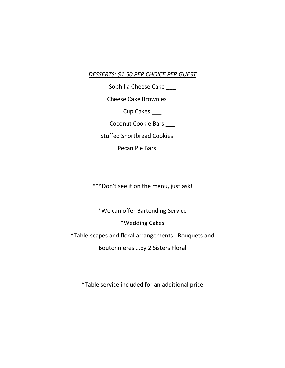## *DESSERTS: \$1.50 PER CHOICE PER GUEST*

Sophilla Cheese Cake \_\_\_

Cheese Cake Brownies \_\_\_

Cup Cakes

Coconut Cookie Bars \_\_\_

Stuffed Shortbread Cookies \_\_\_

Pecan Pie Bars \_\_\_

\*\*\*Don't see it on the menu, just ask!

\*We can offer Bartending Service

\*Wedding Cakes

\*Table-scapes and floral arrangements. Bouquets and

Boutonnieres ...by 2 Sisters Floral

\*Table service included for an additional price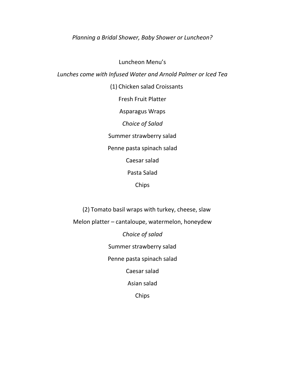### *Planning a Bridal Shower, Baby Shower or Luncheon?*

Luncheon Menu's *Lunches come with Infused Water and Arnold Palmer or Iced Tea* 

> (1) Chicken salad Croissants Fresh Fruit Platter Asparagus Wraps *Choice of Salad* Summer strawberry salad Penne pasta spinach salad Caesar salad Pasta Salad Chips

(2) Tomato basil wraps with turkey, cheese, slaw

Melon platter  $-$  cantaloupe, watermelon, honeydew

*Choice of salad* 

Summer strawberry salad

Penne pasta spinach salad

Caesar salad

Asian salad

Chips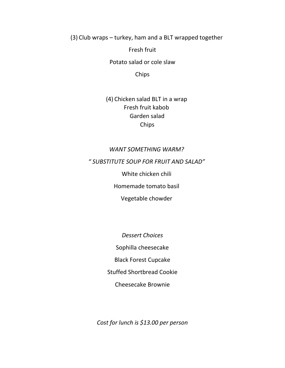$(3)$  Club wraps – turkey, ham and a BLT wrapped together

Fresh fruit

Potato salad or cole slaw

Chips

(4) Chicken salad BLT in a wrap Fresh fruit kabob Garden salad Chips

### *WANT SOMETHING WARM?*

*͞ ^h^d/dhd^KhW&KZ&Zh/dE^>͟*

White chicken chili

Homemade tomato basil

Vegetable chowder

*Dessert Choices*  Sophilla cheesecake Black Forest Cupcake Stuffed Shortbread Cookie Cheesecake Brownie

*Cost for lunch is \$13.00 per person*